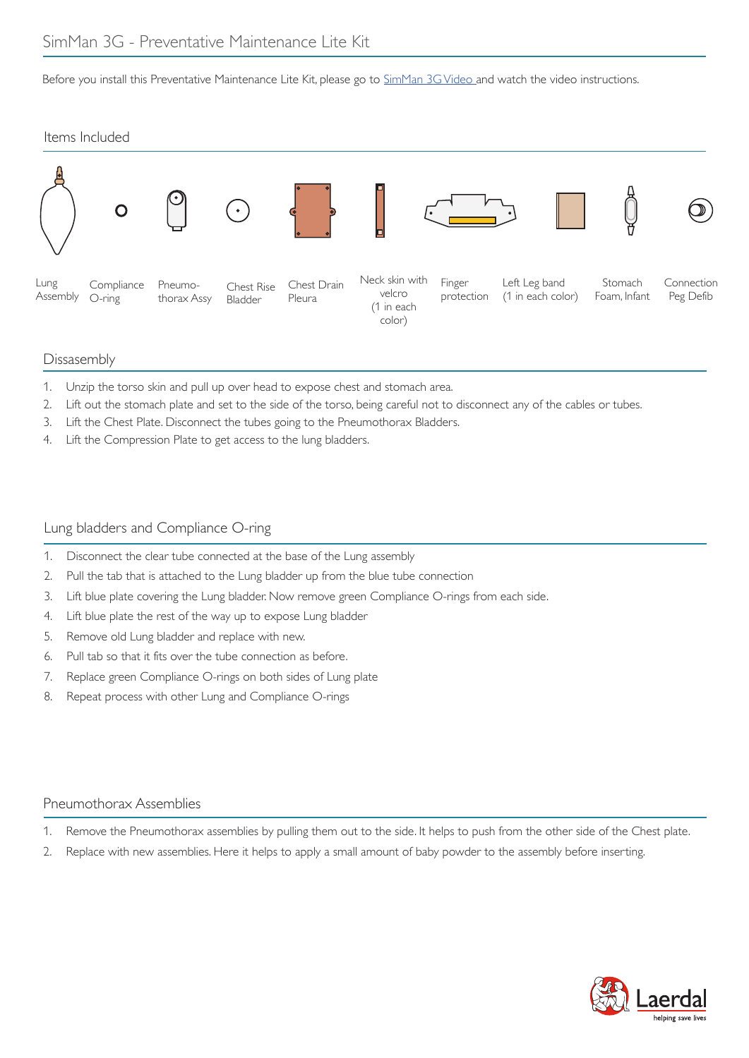Before you install this Preventative Maintenance Lite Kit, please go to SimMan 3G Video and watch the video instructions.





## Dissasembly

- 1. Unzip the torso skin and pull up over head to expose chest and stomach area.
- 2. Lift out the stomach plate and set to the side of the torso, being careful not to disconnect any of the cables or tubes.
- 3. Lift the Chest Plate. Disconnect the tubes going to the Pneumothorax Bladders.
- 4. Lift the Compression Plate to get access to the lung bladders.

## Lung bladders and Compliance O-ring

- 1. Disconnect the clear tube connected at the base of the Lung assembly
- 2. Pull the tab that is attached to the Lung bladder up from the blue tube connection
- 3. Lift blue plate covering the Lung bladder. Now remove green Compliance O-rings from each side.
- 4. Lift blue plate the rest of the way up to expose Lung bladder
- 5. Remove old Lung bladder and replace with new.
- 6. Pull tab so that it fits over the tube connection as before.
- 7. Replace green Compliance O-rings on both sides of Lung plate
- 8. Repeat process with other Lung and Compliance O-rings

# Pneumothorax Assemblies

- 1. Remove the Pneumothorax assemblies by pulling them out to the side. It helps to push from the other side of the Chest plate.
- 2. Replace with new assemblies. Here it helps to apply a small amount of baby powder to the assembly before inserting.

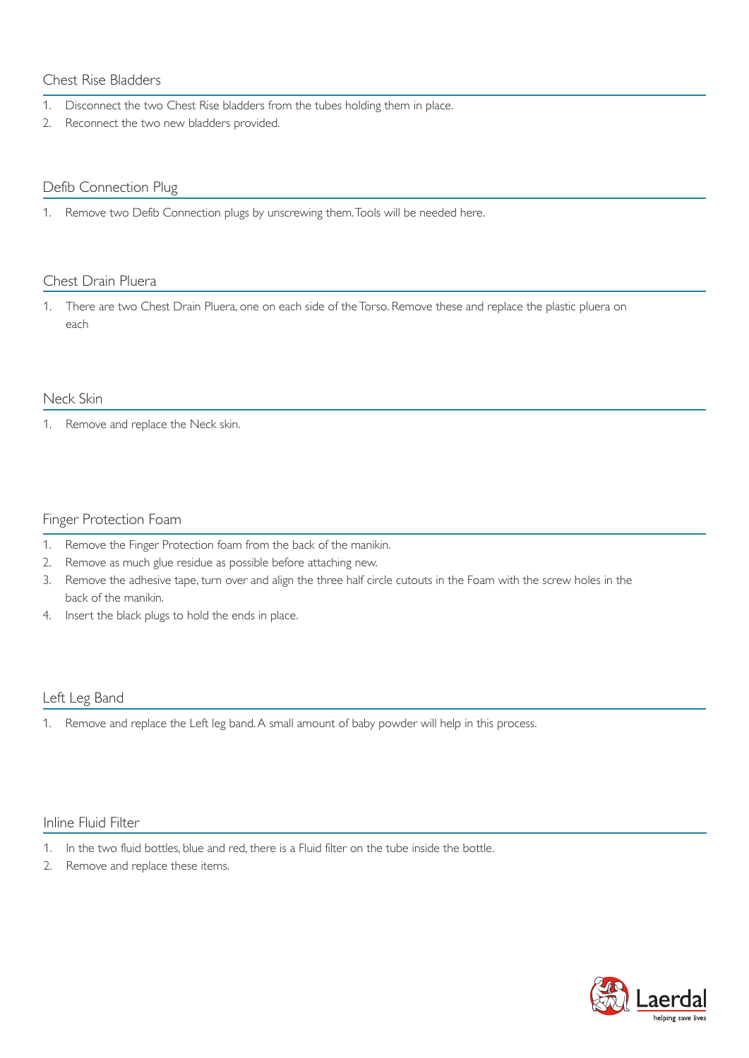# Chest Rise Bladders

- 1. Disconnect the two Chest Rise bladders from the tubes holding them in place.
- 2. Reconnect the two new bladders provided.

#### Defib Connection Plug

1. Remove two Defib Connection plugs by unscrewing them. Tools will be needed here.

#### Chest Drain Pluera

1. There are two Chest Drain Pluera, one on each side of the Torso. Remove these and replace the plastic pluera on each

#### Neck Skin

1. Remove and replace the Neck skin.

#### Finger Protection Foam

- 1. Remove the Finger Protection foam from the back of the manikin.
- 2. Remove as much glue residue as possible before attaching new.
- 3. Remove the adhesive tape, turn over and align the three half circle cutouts in the Foam with the screw holes in the back of the manikin.
- 4. Insert the black plugs to hold the ends in place.

## Left Leg Band

1. Remove and replace the Left leg band. A small amount of baby powder will help in this process.

# Inline Fluid Filter

- 1. In the two fluid bottles, blue and red, there is a Fluid filter on the tube inside the bottle.
- 2. Remove and replace these items.